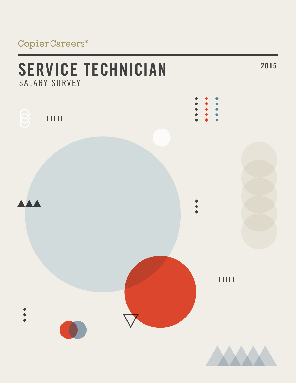## CopierCareers®

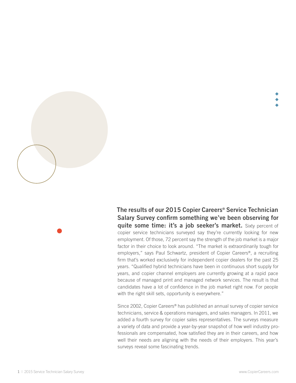**The results of our 2015 Copier Careers® Service Technician Salary Survey confirm something we've been observing for quite some time: it's a job seeker's market.** Sixty percent of copier service technicians surveyed say they're currently looking for new employment. Of those, 72 percent say the strength of the job market is a major factor in their choice to look around. "The market is extraordinarily tough for employers," says Paul Schwartz, president of Copier Careers®, a recruiting firm that's worked exclusively for independent copier dealers for the past 25 years. "Qualified hybrid technicians have been in continuous short supply for years, and copier channel employers are currently growing at a rapid pace because of managed print and managed network services. The result is that candidates have a lot of confidence in the job market right now. For people with the right skill sets, opportunity is everywhere."

Since 2002, Copier Careers® has published an annual survey of copier service technicians, service & operations managers, and sales managers. In 2011, we added a fourth survey for copier sales representatives. The surveys measure a variety of data and provide a year-by-year snapshot of how well industry professionals are compensated, how satisfied they are in their careers, and how well their needs are aligning with the needs of their employers. This year's surveys reveal some fascinating trends.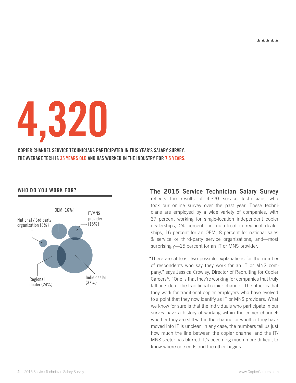**AAAAA** 

**4,320**

**COPIER CHANNEL SERVICE TECHNICIANS PARTICIPATED IN THIS YEAR'S SALARY SURVEY. THE AVERAGE TECH IS 35 YEARS OLD AND HAS WORKED IN THE INDUSTRY FOR 7.5 YEARS.**

#### **Who do you work for?**



**The 2015 Service Technician Salary Survey** reflects the results of 4,320 service technicians who took our online survey over the past year. These technicians are employed by a wide variety of companies, with 37 percent working for single-location independent copier dealerships, 24 percent for multi-location regional dealerships, 16 percent for an OEM, 8 percent for national sales & service or third-party service organizations, and—most surprisingly—15 percent for an IT or MNS provider.

"There are at least two possible explanations for the number of respondents who say they work for an IT or MNS company," says Jessica Crowley, Director of Recruiting for Copier Careers®. "One is that they're working for companies that truly fall outside of the traditional copier channel. The other is that they work for traditional copier employers who have evolved to a point that they now identify as IT or MNS providers. What we know for sure is that the individuals who participate in our survey have a history of working within the copier channel; whether they are still within the channel or whether they have moved into IT is unclear. In any case, the numbers tell us just how much the line between the copier channel and the IT/ MNS sector has blurred. It's becoming much more difficult to know where one ends and the other begins."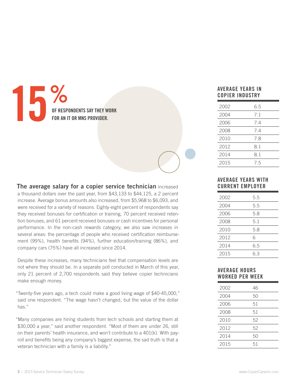# **15%**<br>**15%**<br>FOR AN I **OF RESPONDENTS SAY THEY WORK FOR MNS PROVIDER.**

**The average salary for a copier service technician** increased

a thousand dollars over the past year, from \$43,133 to \$44,125, a 2 percent increase. Average bonus amounts also increased, from \$5,968 to \$6,093, and were received for a variety of reasons. Eighty-eight percent of respondents say they received bonuses for certification or training, 70 percent received retention bonuses, and 61 percent received bonuses or cash incentives for personal performance. In the non-cash rewards category, we also saw increases in several areas: the percentage of people who received certification reimbursement (99%), health benefits (94%), further education/training (86%), and company cars (75%) have all increased since 2014.

Despite these increases, many technicians feel that compensation levels are not where they should be. In a separate poll conducted in March of this year, only 21 percent of 2,700 respondents said they believe copier technicians make enough money.

"Twenty-five years ago, a tech could make a good living wage of \$40-45,000," said one respondent. "The wage hasn't changed, but the value of the dollar has."

"Many companies are hiring students from tech schools and starting them at \$30,000 a year," said another respondent. "Most of them are under 26, still on their parents' health insurance, and won't contribute to a 401(k). With payroll and benefits being any company's biggest expense, the sad truth is that a veteran technician with a family is a liability."

#### **average years in copier industry**

| 2002 | 6.5 |
|------|-----|
| 2004 | 7.1 |
| 2006 | 7.4 |
| 2008 | 7.4 |
| 2010 | 7.8 |
| 2012 | 8.1 |
| 2014 | 8.1 |
| 2015 | 7.5 |

#### **Average YEARS WITH CURRENT EMPLOYER**

| 2002 | 5.5 |
|------|-----|
| 2004 | 5.5 |
| 2006 | 5.8 |
| 2008 | 5.1 |
| 2010 | 5.8 |
| 2012 | 6   |
| 2014 | 6.5 |
| 2015 | 6.3 |

#### **Average Hours worked per week**

| 2002 | 46 |
|------|----|
| 2004 | 50 |
| 2006 | 51 |
| 2008 | 51 |
| 2010 | 52 |
| 2012 | 52 |
| 2014 | 50 |
| 2015 | 51 |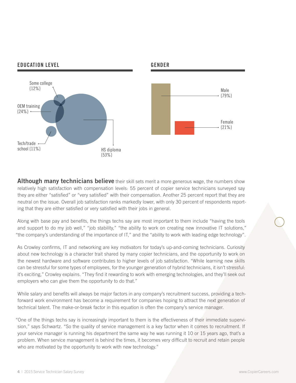

**Although many technicians believe** their skill sets merit a more generous wage, the numbers show relatively high satisfaction with compensation levels: 55 percent of copier service technicians surveyed say they are either "satisfied" or "very satisfied" with their compensation. Another 25 percent report that they are neutral on the issue. Overall job satisfaction ranks markedly lower, with only 30 percent of respondents reporting that they are either satisfied or very satisfied with their jobs in general.

Along with base pay and benefits, the things techs say are most important to them include "having the tools and support to do my job well," "job stability," "the ability to work on creating new innovative IT solutions," "the company's understanding of the importance of IT," and the "ability to work with leading edge technology".

As Crowley confirms, IT and networking are key motivators for today's up-and-coming technicians. Curiosity about new technology is a character trait shared by many copier technicians, and the opportunity to work on the newest hardware and software contributes to higher levels of job satisfaction. "While learning new skills can be stressful for some types of employees, for the younger generation of hybrid technicians, it isn't stressful: it's exciting," Crowley explains. "They find it rewarding to work with emerging technologies, and they'll seek out employers who can give them the opportunity to do that."

While salary and benefits will always be major factors in any company's recruitment success, providing a techforward work environment has become a requirement for companies hoping to attract the next generation of technical talent. The make-or-break factor in this equation is often the company's service manager.

"One of the things techs say is increasingly important to them is the effectiveness of their immediate supervision," says Schwartz. "So the quality of service management is a key factor when it comes to recruitment. If your service manager is running his department the same way he was running it 10 or 15 years ago, that's a problem. When service management is behind the times, it becomes very difficult to recruit and retain people who are motivated by the opportunity to work with new technology."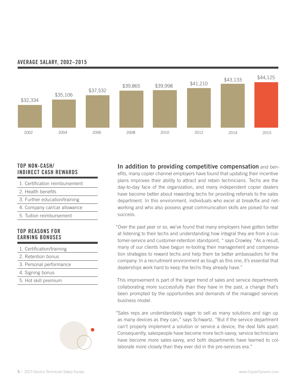

#### **Average salary, 2002–2015**

#### **Top non-cash/ indirect cash rewards**

- 1. Certification reimbursement
- 2. Health benefits
- 3. Further education/training
- 4. Company car/car allowance
- 5. Tuition reimbursement

#### **Top reasons for Earning bonuses**

- 1. Certification/training
- 2. Retention bonus
- 3. Personal performance
- 4. Signing bonus
- 5. Hot skill premium



**In addition to providing competitive compensation** and benefits, many copier channel employers have found that updating their incentive plans improves their ability to attract and retain technicians. Techs are the day-to-day face of the organization, and many independent copier dealers have become better about rewarding techs for providing referrals to the sales department. In this environment, individuals who excel at break/fix and networking and who also possess great communication skills are poised for real success.

"Over the past year or so, we've found that many employers have gotten better at listening to their techs and understanding how integral they are from a customer-service and customer-retention standpoint, " says Crowley. "As a result, many of our clients have begun re-tooling their management and compensation strategies to reward techs and help them be better ambassadors for the company. In a recruitment environment as tough as this one, it's essential that dealerships work hard to keep the techs they already have."

This improvement is part of the larger trend of sales and service departments collaborating more successfully than they have in the past, a change that's been prompted by the opportunities and demands of the managed services business model.

"Sales reps are understandably eager to sell as many solutions and sign up as many devices as they can," says Schwartz. "But if the service department can't properly implement a solution or service a device, the deal falls apart. Consequently, salespeople have become more tech-savvy, service technicians have become more sales-savvy, and both departments have learned to collaborate more closely than they ever did in the pre-services era."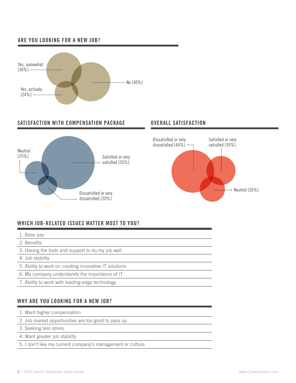#### **Are you looking for a new job?**



#### **SATISFACTION WITH COMPENSATION PACKAGE <b>OVERALL SATISFACTION**





### **WHich job-related issues matter most to YOu?**

- 1. Base pay
- 2. Benefits
- 3. Having the tools and support to do my job well
- 4. Job stability
- 5. Ability to work on creating innovative IT solutions
- 6. My company understands the importance of IT
- 7. Ability to work with leading-edge technology

#### **WHY ARE YOU LOOKING FOR A NEW JOB?**

- 1. Want higher compensation
- 2. Job market opportunities are too good to pass up
- 3. Seeking less stress
- 4. Want greater job stability
- 5. I don't like my current company's management or culture